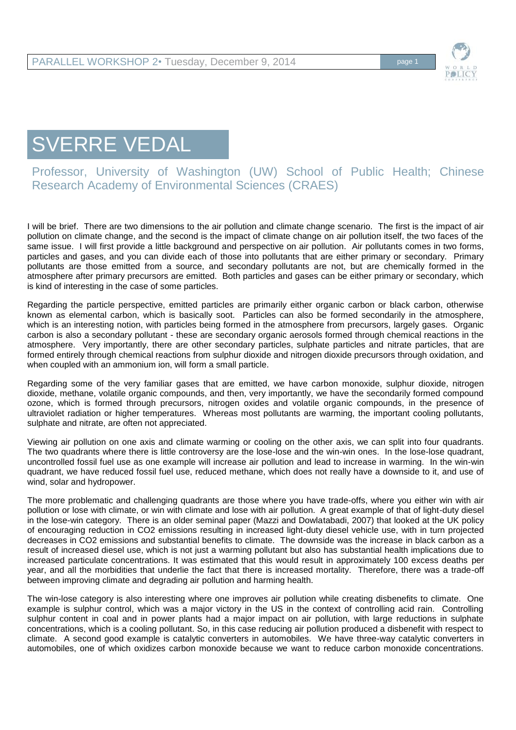

## SVERRE VEDAL

Professor, University of Washington (UW) School of Public Health; Chinese Research Academy of Environmental Sciences (CRAES)

I will be brief. There are two dimensions to the air pollution and climate change scenario. The first is the impact of air pollution on climate change, and the second is the impact of climate change on air pollution itself, the two faces of the same issue. I will first provide a little background and perspective on air pollution. Air pollutants comes in two forms, particles and gases, and you can divide each of those into pollutants that are either primary or secondary. Primary pollutants are those emitted from a source, and secondary pollutants are not, but are chemically formed in the atmosphere after primary precursors are emitted. Both particles and gases can be either primary or secondary, which is kind of interesting in the case of some particles.

Regarding the particle perspective, emitted particles are primarily either organic carbon or black carbon, otherwise known as elemental carbon, which is basically soot. Particles can also be formed secondarily in the atmosphere, which is an interesting notion, with particles being formed in the atmosphere from precursors, largely gases. Organic carbon is also a secondary pollutant - these are secondary organic aerosols formed through chemical reactions in the atmosphere. Very importantly, there are other secondary particles, sulphate particles and nitrate particles, that are formed entirely through chemical reactions from sulphur dioxide and nitrogen dioxide precursors through oxidation, and when coupled with an ammonium ion, will form a small particle.

Regarding some of the very familiar gases that are emitted, we have carbon monoxide, sulphur dioxide, nitrogen dioxide, methane, volatile organic compounds, and then, very importantly, we have the secondarily formed compound ozone, which is formed through precursors, nitrogen oxides and volatile organic compounds, in the presence of ultraviolet radiation or higher temperatures. Whereas most pollutants are warming, the important cooling pollutants, sulphate and nitrate, are often not appreciated.

Viewing air pollution on one axis and climate warming or cooling on the other axis, we can split into four quadrants. The two quadrants where there is little controversy are the lose-lose and the win-win ones. In the lose-lose quadrant, uncontrolled fossil fuel use as one example will increase air pollution and lead to increase in warming. In the win-win quadrant, we have reduced fossil fuel use, reduced methane, which does not really have a downside to it, and use of wind, solar and hydropower.

The more problematic and challenging quadrants are those where you have trade-offs, where you either win with air pollution or lose with climate, or win with climate and lose with air pollution. A great example of that of light-duty diesel in the lose-win category. There is an older seminal paper (Mazzi and Dowlatabadi, 2007) that looked at the UK policy of encouraging reduction in CO2 emissions resulting in increased light-duty diesel vehicle use, with in turn projected decreases in CO2 emissions and substantial benefits to climate. The downside was the increase in black carbon as a result of increased diesel use, which is not just a warming pollutant but also has substantial health implications due to increased particulate concentrations. It was estimated that this would result in approximately 100 excess deaths per year, and all the morbidities that underlie the fact that there is increased mortality. Therefore, there was a trade-off between improving climate and degrading air pollution and harming health.

The win-lose category is also interesting where one improves air pollution while creating disbenefits to climate. One example is sulphur control, which was a major victory in the US in the context of controlling acid rain. Controlling sulphur content in coal and in power plants had a major impact on air pollution, with large reductions in sulphate concentrations, which is a cooling pollutant. So, in this case reducing air pollution produced a disbenefit with respect to climate. A second good example is catalytic converters in automobiles. We have three-way catalytic converters in automobiles, one of which oxidizes carbon monoxide because we want to reduce carbon monoxide concentrations.